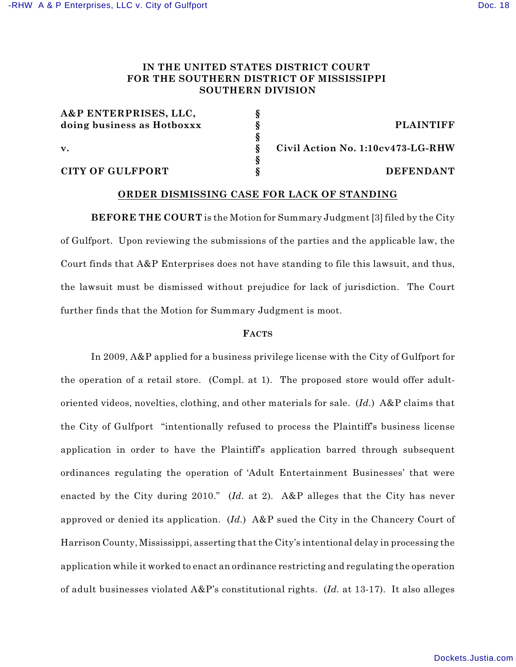## **IN THE UNITED STATES DISTRICT COURT FOR THE SOUTHERN DISTRICT OF MISSISSIPPI SOUTHERN DIVISION**

| A&P ENTERPRISES, LLC,      |  |
|----------------------------|--|
| doing business as Hotboxxx |  |
|                            |  |
| $\mathbf{v}$ .             |  |
|                            |  |
| CITY OF GIILFPORT          |  |

**doing business as Hotboxxx § PLAINTIFF**

**v. § Civil Action No. 1:10cv473-LG-RHW**

**CITY OF GULFPORT § DEFENDANT**

## **ORDER DISMISSING CASE FOR LACK OF STANDING**

**BEFORE THE COURT** is the Motion for Summary Judgment [3] filed by the City of Gulfport. Upon reviewing the submissions of the parties and the applicable law, the Court finds that A&P Enterprises does not have standing to file this lawsuit, and thus, the lawsuit must be dismissed without prejudice for lack of jurisdiction. The Court further finds that the Motion for Summary Judgment is moot.

## **FACTS**

In 2009, A&P applied for a business privilege license with the City of Gulfport for the operation of a retail store. (Compl. at 1). The proposed store would offer adultoriented videos, novelties, clothing, and other materials for sale. (*Id.*) A&P claims that the City of Gulfport "intentionally refused to process the Plaintiff's business license application in order to have the Plaintiff's application barred through subsequent ordinances regulating the operation of 'Adult Entertainment Businesses' that were enacted by the City during 2010." (*Id.* at 2). A&P alleges that the City has never approved or denied its application. (*Id.*) A&P sued the City in the Chancery Court of Harrison County, Mississippi, asserting that the City's intentional delay in processing the application while it worked to enact an ordinance restricting and regulating the operation of adult businesses violated A&P's constitutional rights. (*Id.* at 13-17). It also alleges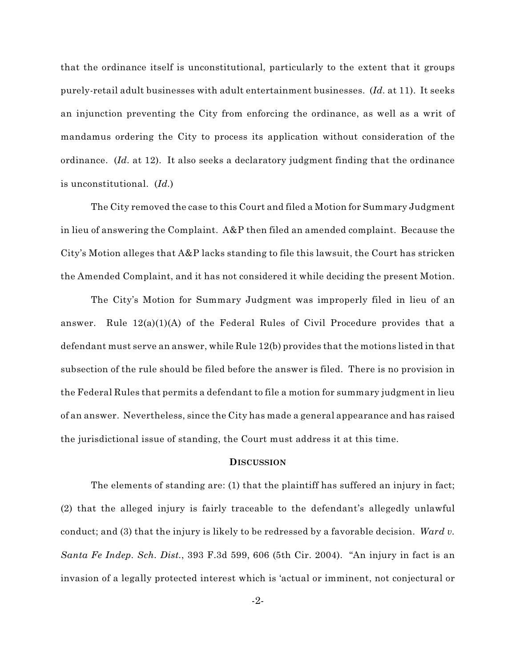that the ordinance itself is unconstitutional, particularly to the extent that it groups purely-retail adult businesses with adult entertainment businesses. (*Id.* at 11). It seeks an injunction preventing the City from enforcing the ordinance, as well as a writ of mandamus ordering the City to process its application without consideration of the ordinance. (*Id.* at 12). It also seeks a declaratory judgment finding that the ordinance is unconstitutional. (*Id.*)

The City removed the case to this Court and filed a Motion for Summary Judgment in lieu of answering the Complaint. A&P then filed an amended complaint. Because the City's Motion alleges that A&P lacks standing to file this lawsuit, the Court has stricken the Amended Complaint, and it has not considered it while deciding the present Motion.

The City's Motion for Summary Judgment was improperly filed in lieu of an answer. Rule  $12(a)(1)(A)$  of the Federal Rules of Civil Procedure provides that a defendant must serve an answer, while Rule 12(b) provides that the motions listed in that subsection of the rule should be filed before the answer is filed. There is no provision in the Federal Rules that permits a defendant to file a motion for summary judgment in lieu of an answer. Nevertheless, since the City has made a general appearance and has raised the jurisdictional issue of standing, the Court must address it at this time.

## **DISCUSSION**

The elements of standing are: (1) that the plaintiff has suffered an injury in fact; (2) that the alleged injury is fairly traceable to the defendant's allegedly unlawful conduct; and (3) that the injury is likely to be redressed by a favorable decision. *Ward v. Santa Fe Indep. Sch. Dist.*, 393 F.3d 599, 606 (5th Cir. 2004). "An injury in fact is an invasion of a legally protected interest which is 'actual or imminent, not conjectural or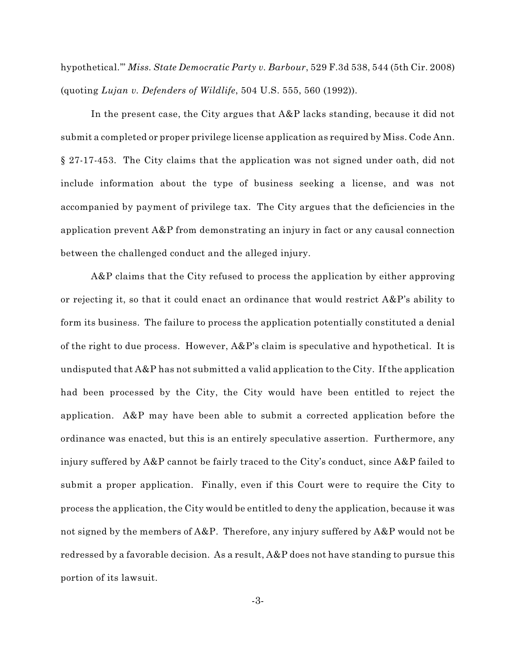hypothetical.'" *Miss. State Democratic Party v. Barbour*, 529 F.3d 538, 544 (5th Cir. 2008) (quoting *Lujan v. Defenders of Wildlife*, 504 U.S. 555, 560 (1992)).

In the present case, the City argues that A&P lacks standing, because it did not submit a completed or proper privilege license application as required by Miss. Code Ann. § 27-17-453. The City claims that the application was not signed under oath, did not include information about the type of business seeking a license, and was not accompanied by payment of privilege tax. The City argues that the deficiencies in the application prevent A&P from demonstrating an injury in fact or any causal connection between the challenged conduct and the alleged injury.

A&P claims that the City refused to process the application by either approving or rejecting it, so that it could enact an ordinance that would restrict  $A\&P$ 's ability to form its business. The failure to process the application potentially constituted a denial of the right to due process. However,  $A\&P's$  claim is speculative and hypothetical. It is undisputed that A&P has not submitted a valid application to the City. If the application had been processed by the City, the City would have been entitled to reject the application. A&P may have been able to submit a corrected application before the ordinance was enacted, but this is an entirely speculative assertion. Furthermore, any injury suffered by A&P cannot be fairly traced to the City's conduct, since A&P failed to submit a proper application. Finally, even if this Court were to require the City to process the application, the City would be entitled to deny the application, because it was not signed by the members of A&P. Therefore, any injury suffered by A&P would not be redressed by a favorable decision. As a result,  $A\&P$  does not have standing to pursue this portion of its lawsuit.